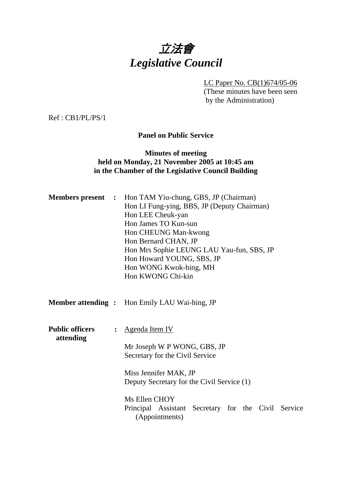

LC Paper No. CB(1)674/05-06 (These minutes have been seen by the Administration)

Ref : CB1/PL/PS/1

**Panel on Public Service** 

### **Minutes of meeting held on Monday, 21 November 2005 at 10:45 am in the Chamber of the Legislative Council Building**

|                                     |                | <b>Members present :</b> Hon TAM Yiu-chung, GBS, JP (Chairman)<br>Hon LI Fung-ying, BBS, JP (Deputy Chairman)<br>Hon LEE Cheuk-yan<br>Hon James TO Kun-sun<br>Hon CHEUNG Man-kwong<br>Hon Bernard CHAN, JP<br>Hon Mrs Sophie LEUNG LAU Yau-fun, SBS, JP<br>Hon Howard YOUNG, SBS, JP<br>Hon WONG Kwok-hing, MH<br>Hon KWONG Chi-kin |  |  |
|-------------------------------------|----------------|-------------------------------------------------------------------------------------------------------------------------------------------------------------------------------------------------------------------------------------------------------------------------------------------------------------------------------------|--|--|
|                                     |                | <b>Member attending :</b> Hon Emily LAU Wai-hing, JP                                                                                                                                                                                                                                                                                |  |  |
| <b>Public officers</b><br>attending | $\ddot{\cdot}$ | <b>Agenda Item IV</b><br>Mr Joseph W P WONG, GBS, JP<br>Secretary for the Civil Service<br>Miss Jennifer MAK, JP<br>Deputy Secretary for the Civil Service (1)<br>Ms Ellen CHOY<br>Principal Assistant Secretary for the Civil Service<br>(Appointments)                                                                            |  |  |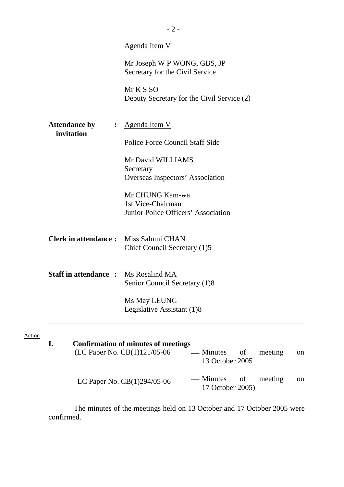|                                                      | Mr Joseph W P WONG, GBS, JP<br>Secretary for the Civil Service<br>Mr K S SO<br>Deputy Secretary for the Civil Service (2) |
|------------------------------------------------------|---------------------------------------------------------------------------------------------------------------------------|
| <b>Attendance by</b><br>$\ddot{\cdot}$<br>invitation | <u>Agenda Item V</u><br><b>Police Force Council Staff Side</b>                                                            |
|                                                      | Mr David WILLIAMS<br>Secretary<br>Overseas Inspectors' Association                                                        |
|                                                      | Mr CHUNG Kam-wa<br>1st Vice-Chairman<br>Junior Police Officers' Association                                               |
| <b>Clerk in attendance:</b> Miss Salumi CHAN         | Chief Council Secretary (1)5                                                                                              |
| <b>Staff in attendance :</b> Ms Rosalind MA          | Senior Council Secretary (1)8                                                                                             |
|                                                      | Ms May LEUNG<br>Legislative Assistant (1)8                                                                                |

| <b>Confirmation of minutes of meetings</b><br>(LC Paper No. CB(1)121/05-06 | — Minutes of<br>13 October 2005          | meeting | <sub>on</sub> |
|----------------------------------------------------------------------------|------------------------------------------|---------|---------------|
| LC Paper No. $CB(1)294/05-06$                                              | — Minutes of meeting<br>17 October 2005) |         | <sub>on</sub> |

 The minutes of the meetings held on 13 October and 17 October 2005 were confirmed.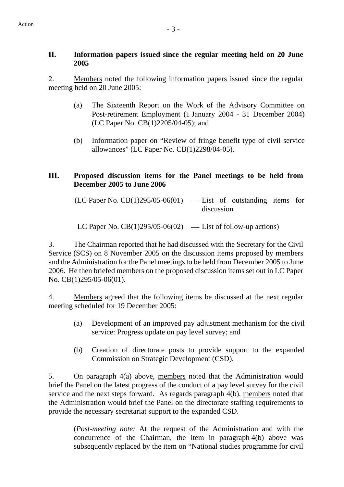### **II. Information papers issued since the regular meeting held on 20 June 2005**

2. Members noted the following information papers issued since the regular meeting held on 20 June 2005:

- (a) The Sixteenth Report on the Work of the Advisory Committee on Post-retirement Employment (1 January 2004 - 31 December 2004) (LC Paper No. CB(1)2205/04-05); and
- (b) Information paper on "Review of fringe benefit type of civil service allowances" (LC Paper No. CB(1)2298/04-05).

## **III. Proposed discussion items for the Panel meetings to be held from December 2005 to June 2006**

 $(LC$  Paper No.  $CB(1)295/05-06(01)$  — List of outstanding items for discussion

LC Paper No.  $CB(1)295/05-06(02)$  — List of follow-up actions)

3. The Chairman reported that he had discussed with the Secretary for the Civil Service (SCS) on 8 November 2005 on the discussion items proposed by members and the Administration for the Panel meetings to be held from December 2005 to June 2006. He then briefed members on the proposed discussion items set out in LC Paper No. CB(1)295/05-06(01).

4. Members agreed that the following items be discussed at the next regular meeting scheduled for 19 December 2005:

- (a) Development of an improved pay adjustment mechanism for the civil service: Progress update on pay level survey; and
- (b) Creation of directorate posts to provide support to the expanded Commission on Strategic Development (CSD).

5. On paragraph 4(a) above, members noted that the Administration would brief the Panel on the latest progress of the conduct of a pay level survey for the civil service and the next steps forward. As regards paragraph 4(b), members noted that the Administration would brief the Panel on the directorate staffing requirements to provide the necessary secretariat support to the expanded CSD.

(*Post-meeting note:* At the request of the Administration and with the concurrence of the Chairman, the item in paragraph 4(b) above was subsequently replaced by the item on "National studies programme for civil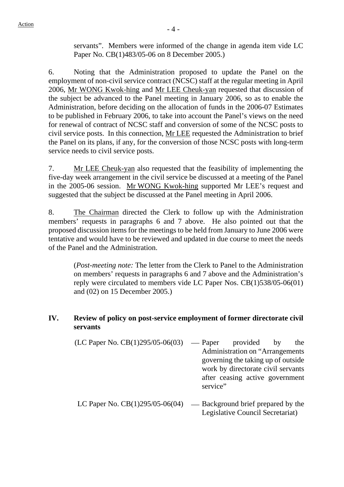servants". Members were informed of the change in agenda item vide LC Paper No. CB(1)483/05-06 on 8 December 2005.)

6. Noting that the Administration proposed to update the Panel on the employment of non-civil service contract (NCSC) staff at the regular meeting in April 2006, Mr WONG Kwok-hing and Mr LEE Cheuk-yan requested that discussion of the subject be advanced to the Panel meeting in January 2006, so as to enable the Administration, before deciding on the allocation of funds in the 2006-07 Estimates to be published in February 2006, to take into account the Panel's views on the need for renewal of contract of NCSC staff and conversion of some of the NCSC posts to civil service posts. In this connection, Mr LEE requested the Administration to brief the Panel on its plans, if any, for the conversion of those NCSC posts with long-term service needs to civil service posts.

7. Mr LEE Cheuk-yan also requested that the feasibility of implementing the five-day week arrangement in the civil service be discussed at a meeting of the Panel in the 2005-06 session. Mr WONG Kwok-hing supported Mr LEE's request and suggested that the subject be discussed at the Panel meeting in April 2006.

8. The Chairman directed the Clerk to follow up with the Administration members' requests in paragraphs 6 and 7 above. He also pointed out that the proposed discussion items for the meetings to be held from January to June 2006 were tentative and would have to be reviewed and updated in due course to meet the needs of the Panel and the Administration.

(*Post-meeting note:* The letter from the Clerk to Panel to the Administration on members' requests in paragraphs 6 and 7 above and the Administration's reply were circulated to members vide LC Paper Nos. CB(1)538/05-06(01) and (02) on 15 December 2005.)

### **IV. Review of policy on post-service employment of former directorate civil servants**

- $(LC$  Paper No.  $CB(1)295/05-06(03)$  Paper provided by the Administration on "Arrangements governing the taking up of outside work by directorate civil servants after ceasing active government service"
- LC Paper No.  $CB(1)295/05-06(04)$  Background brief prepared by the Legislative Council Secretariat)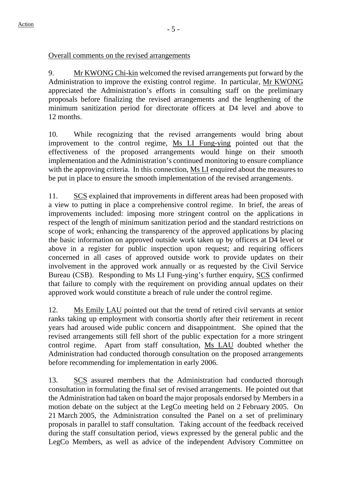### Overall comments on the revised arrangements

9. Mr KWONG Chi-kin welcomed the revised arrangements put forward by the Administration to improve the existing control regime. In particular, Mr KWONG appreciated the Administration's efforts in consulting staff on the preliminary proposals before finalizing the revised arrangements and the lengthening of the minimum sanitization period for directorate officers at D4 level and above to 12 months.

10. While recognizing that the revised arrangements would bring about improvement to the control regime, Ms LI Fung-ying pointed out that the effectiveness of the proposed arrangements would hinge on their smooth implementation and the Administration's continued monitoring to ensure compliance with the approving criteria. In this connection, Ms LI enquired about the measures to be put in place to ensure the smooth implementation of the revised arrangements.

11. SCS explained that improvements in different areas had been proposed with a view to putting in place a comprehensive control regime. In brief, the areas of improvements included: imposing more stringent control on the applications in respect of the length of minimum sanitization period and the standard restrictions on scope of work; enhancing the transparency of the approved applications by placing the basic information on approved outside work taken up by officers at D4 level or above in a register for public inspection upon request; and requiring officers concerned in all cases of approved outside work to provide updates on their involvement in the approved work annually or as requested by the Civil Service Bureau (CSB). Responding to Ms LI Fung-ying's further enquiry, SCS confirmed that failure to comply with the requirement on providing annual updates on their approved work would constitute a breach of rule under the control regime.

12. Ms Emily LAU pointed out that the trend of retired civil servants at senior ranks taking up employment with consortia shortly after their retirement in recent years had aroused wide public concern and disappointment. She opined that the revised arrangements still fell short of the public expectation for a more stringent control regime. Apart from staff consultation, Ms LAU doubted whether the Administration had conducted thorough consultation on the proposed arrangements before recommending for implementation in early 2006.

13. SCS assured members that the Administration had conducted thorough consultation in formulating the final set of revised arrangements. He pointed out that the Administration had taken on board the major proposals endorsed by Members in a motion debate on the subject at the LegCo meeting held on 2 February 2005. On 21 March 2005, the Administration consulted the Panel on a set of preliminary proposals in parallel to staff consultation. Taking account of the feedback received during the staff consultation period, views expressed by the general public and the LegCo Members, as well as advice of the independent Advisory Committee on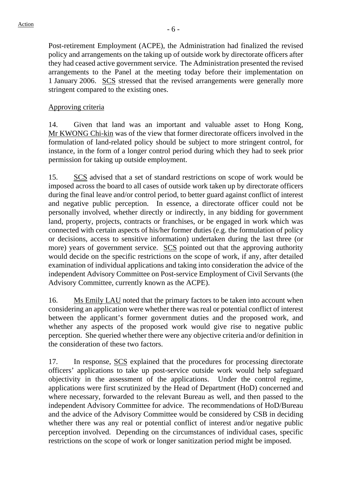Post-retirement Employment (ACPE), the Administration had finalized the revised policy and arrangements on the taking up of outside work by directorate officers after they had ceased active government service. The Administration presented the revised arrangements to the Panel at the meeting today before their implementation on 1 January 2006. SCS stressed that the revised arrangements were generally more stringent compared to the existing ones.

### Approving criteria

14. Given that land was an important and valuable asset to Hong Kong, Mr KWONG Chi-kin was of the view that former directorate officers involved in the formulation of land-related policy should be subject to more stringent control, for instance, in the form of a longer control period during which they had to seek prior permission for taking up outside employment.

15. SCS advised that a set of standard restrictions on scope of work would be imposed across the board to all cases of outside work taken up by directorate officers during the final leave and/or control period, to better guard against conflict of interest and negative public perception. In essence, a directorate officer could not be personally involved, whether directly or indirectly, in any bidding for government land, property, projects, contracts or franchises, or be engaged in work which was connected with certain aspects of his/her former duties (e.g. the formulation of policy or decisions, access to sensitive information) undertaken during the last three (or more) years of government service. SCS pointed out that the approving authority would decide on the specific restrictions on the scope of work, if any, after detailed examination of individual applications and taking into consideration the advice of the independent Advisory Committee on Post-service Employment of Civil Servants (the Advisory Committee, currently known as the ACPE).

16. Ms Emily LAU noted that the primary factors to be taken into account when considering an application were whether there was real or potential conflict of interest between the applicant's former government duties and the proposed work, and whether any aspects of the proposed work would give rise to negative public perception. She queried whether there were any objective criteria and/or definition in the consideration of these two factors.

17. In response, SCS explained that the procedures for processing directorate officers' applications to take up post-service outside work would help safeguard objectivity in the assessment of the applications. Under the control regime, applications were first scrutinized by the Head of Department (HoD) concerned and where necessary, forwarded to the relevant Bureau as well, and then passed to the independent Advisory Committee for advice. The recommendations of HoD/Bureau and the advice of the Advisory Committee would be considered by CSB in deciding whether there was any real or potential conflict of interest and/or negative public perception involved. Depending on the circumstances of individual cases, specific restrictions on the scope of work or longer sanitization period might be imposed.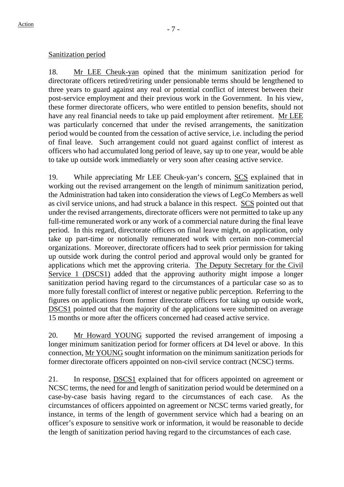### Sanitization period

18. Mr LEE Cheuk-yan opined that the minimum sanitization period for directorate officers retired/retiring under pensionable terms should be lengthened to three years to guard against any real or potential conflict of interest between their post-service employment and their previous work in the Government. In his view, these former directorate officers, who were entitled to pension benefits, should not have any real financial needs to take up paid employment after retirement. Mr LEE was particularly concerned that under the revised arrangements, the sanitization period would be counted from the cessation of active service, i.e. including the period of final leave. Such arrangement could not guard against conflict of interest as officers who had accumulated long period of leave, say up to one year, would be able to take up outside work immediately or very soon after ceasing active service.

19. While appreciating Mr LEE Cheuk-yan's concern, SCS explained that in working out the revised arrangement on the length of minimum sanitization period, the Administration had taken into consideration the views of LegCo Members as well as civil service unions, and had struck a balance in this respect. SCS pointed out that under the revised arrangements, directorate officers were not permitted to take up any full-time remunerated work or any work of a commercial nature during the final leave period. In this regard, directorate officers on final leave might, on application, only take up part-time or notionally remunerated work with certain non-commercial organizations. Moreover, directorate officers had to seek prior permission for taking up outside work during the control period and approval would only be granted for applications which met the approving criteria. The Deputy Secretary for the Civil Service 1 (DSCS1) added that the approving authority might impose a longer sanitization period having regard to the circumstances of a particular case so as to more fully forestall conflict of interest or negative public perception. Referring to the figures on applications from former directorate officers for taking up outside work, DSCS1 pointed out that the majority of the applications were submitted on average 15 months or more after the officers concerned had ceased active service.

20. Mr Howard YOUNG supported the revised arrangement of imposing a longer minimum sanitization period for former officers at D4 level or above. In this connection, Mr YOUNG sought information on the minimum sanitization periods for former directorate officers appointed on non-civil service contract (NCSC) terms.

21. In response, DSCS1 explained that for officers appointed on agreement or NCSC terms, the need for and length of sanitization period would be determined on a case-by-case basis having regard to the circumstances of each case. As the circumstances of officers appointed on agreement or NCSC terms varied greatly, for instance, in terms of the length of government service which had a bearing on an officer's exposure to sensitive work or information, it would be reasonable to decide the length of sanitization period having regard to the circumstances of each case.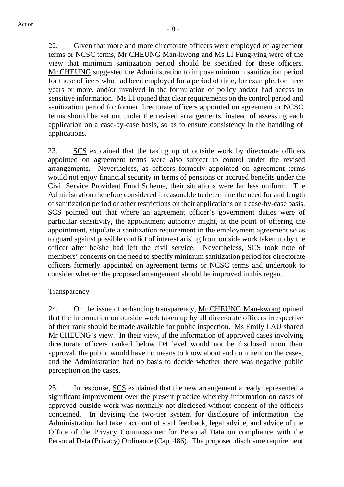22. Given that more and more directorate officers were employed on agreement terms or NCSC terms, Mr CHEUNG Man-kwong and Ms LI Fung-ying were of the view that minimum sanitization period should be specified for these officers. Mr CHEUNG suggested the Administration to impose minimum sanitization period for those officers who had been employed for a period of time, for example, for three years or more, and/or involved in the formulation of policy and/or had access to sensitive information. Ms LI opined that clear requirements on the control period and sanitization period for former directorate officers appointed on agreement or NCSC terms should be set out under the revised arrangements, instead of assessing each application on a case-by-case basis, so as to ensure consistency in the handling of applications.

23. SCS explained that the taking up of outside work by directorate officers appointed on agreement terms were also subject to control under the revised arrangements. Nevertheless, as officers formerly appointed on agreement terms would not enjoy financial security in terms of pensions or accrued benefits under the Civil Service Provident Fund Scheme, their situations were far less uniform. The Administration therefore considered it reasonable to determine the need for and length of sanitization period or other restrictions on their applications on a case-by-case basis. SCS pointed out that where an agreement officer's government duties were of particular sensitivity, the appointment authority might, at the point of offering the appointment, stipulate a sanitization requirement in the employment agreement so as to guard against possible conflict of interest arising from outside work taken up by the officer after he/she had left the civil service. Nevertheless, SCS took note of members' concerns on the need to specify minimum sanitization period for directorate officers formerly appointed on agreement terms or NCSC terms and undertook to consider whether the proposed arrangement should be improved in this regard.

### **Transparency**

24. On the issue of enhancing transparency, Mr CHEUNG Man-kwong opined that the information on outside work taken up by all directorate officers irrespective of their rank should be made available for public inspection. Ms Emily LAU shared Mr CHEUNG's view. In their view, if the information of approved cases involving directorate officers ranked below D4 level would not be disclosed upon their approval, the public would have no means to know about and comment on the cases, and the Administration had no basis to decide whether there was negative public perception on the cases.

25. In response, SCS explained that the new arrangement already represented a significant improvement over the present practice whereby information on cases of approved outside work was normally not disclosed without consent of the officers concerned. In devising the two-tier system for disclosure of information, the Administration had taken account of staff feedback, legal advice, and advice of the Office of the Privacy Commissioner for Personal Data on compliance with the Personal Data (Privacy) Ordinance (Cap. 486). The proposed disclosure requirement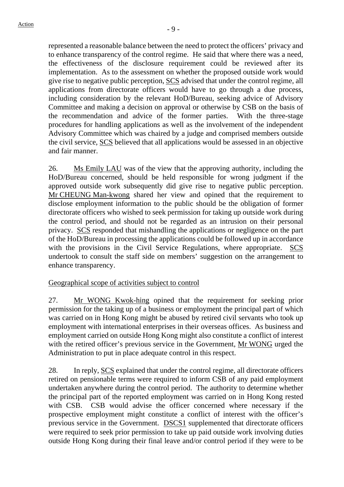represented a reasonable balance between the need to protect the officers' privacy and to enhance transparency of the control regime. He said that where there was a need, the effectiveness of the disclosure requirement could be reviewed after its implementation. As to the assessment on whether the proposed outside work would give rise to negative public perception, SCS advised that under the control regime, all applications from directorate officers would have to go through a due process, including consideration by the relevant HoD/Bureau, seeking advice of Advisory Committee and making a decision on approval or otherwise by CSB on the basis of the recommendation and advice of the former parties. With the three-stage procedures for handling applications as well as the involvement of the independent Advisory Committee which was chaired by a judge and comprised members outside the civil service, SCS believed that all applications would be assessed in an objective and fair manner.

26. Ms Emily LAU was of the view that the approving authority, including the HoD/Bureau concerned, should be held responsible for wrong judgment if the approved outside work subsequently did give rise to negative public perception. Mr CHEUNG Man-kwong shared her view and opined that the requirement to disclose employment information to the public should be the obligation of former directorate officers who wished to seek permission for taking up outside work during the control period, and should not be regarded as an intrusion on their personal privacy. SCS responded that mishandling the applications or negligence on the part of the HoD/Bureau in processing the applications could be followed up in accordance with the provisions in the Civil Service Regulations, where appropriate. SCS undertook to consult the staff side on members' suggestion on the arrangement to enhance transparency.

### Geographical scope of activities subject to control

27. Mr WONG Kwok-hing opined that the requirement for seeking prior permission for the taking up of a business or employment the principal part of which was carried on in Hong Kong might be abused by retired civil servants who took up employment with international enterprises in their overseas offices. As business and employment carried on outside Hong Kong might also constitute a conflict of interest with the retired officer's previous service in the Government, Mr WONG urged the Administration to put in place adequate control in this respect.

28. In reply, SCS explained that under the control regime, all directorate officers retired on pensionable terms were required to inform CSB of any paid employment undertaken anywhere during the control period. The authority to determine whether the principal part of the reported employment was carried on in Hong Kong rested with CSB. CSB would advise the officer concerned where necessary if the prospective employment might constitute a conflict of interest with the officer's previous service in the Government. DSCS1 supplemented that directorate officers were required to seek prior permission to take up paid outside work involving duties outside Hong Kong during their final leave and/or control period if they were to be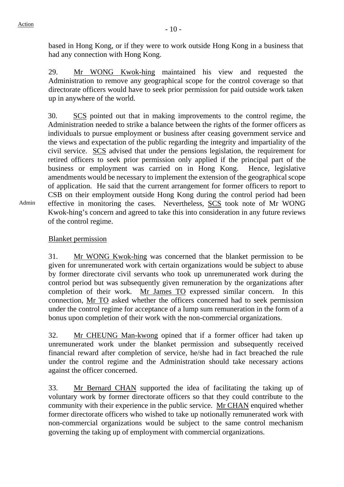based in Hong Kong, or if they were to work outside Hong Kong in a business that had any connection with Hong Kong.

29. Mr WONG Kwok-hing maintained his view and requested the Administration to remove any geographical scope for the control coverage so that directorate officers would have to seek prior permission for paid outside work taken up in anywhere of the world.

30. SCS pointed out that in making improvements to the control regime, the Administration needed to strike a balance between the rights of the former officers as individuals to pursue employment or business after ceasing government service and the views and expectation of the public regarding the integrity and impartiality of the civil service. SCS advised that under the pensions legislation, the requirement for retired officers to seek prior permission only applied if the principal part of the business or employment was carried on in Hong Kong. Hence, legislative amendments would be necessary to implement the extension of the geographical scope of application. He said that the current arrangement for former officers to report to CSB on their employment outside Hong Kong during the control period had been effective in monitoring the cases. Nevertheless, SCS took note of Mr WONG Kwok-hing's concern and agreed to take this into consideration in any future reviews of the control regime.

Admin

# Blanket permission

31. Mr WONG Kwok-hing was concerned that the blanket permission to be given for unremunerated work with certain organizations would be subject to abuse by former directorate civil servants who took up unremunerated work during the control period but was subsequently given remuneration by the organizations after completion of their work. Mr James TO expressed similar concern. In this connection, Mr TO asked whether the officers concerned had to seek permission under the control regime for acceptance of a lump sum remuneration in the form of a bonus upon completion of their work with the non-commercial organizations.

32. Mr CHEUNG Man-kwong opined that if a former officer had taken up unremunerated work under the blanket permission and subsequently received financial reward after completion of service, he/she had in fact breached the rule under the control regime and the Administration should take necessary actions against the officer concerned.

33. Mr Bernard CHAN supported the idea of facilitating the taking up of voluntary work by former directorate officers so that they could contribute to the community with their experience in the public service. Mr CHAN enquired whether former directorate officers who wished to take up notionally remunerated work with non-commercial organizations would be subject to the same control mechanism governing the taking up of employment with commercial organizations.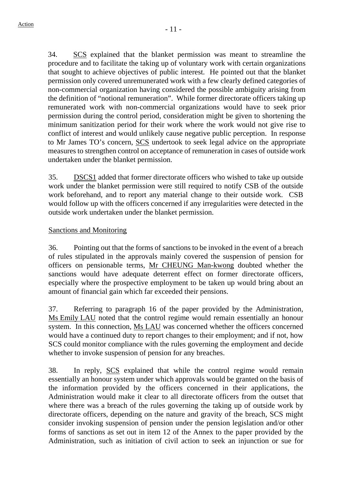34. SCS explained that the blanket permission was meant to streamline the procedure and to facilitate the taking up of voluntary work with certain organizations that sought to achieve objectives of public interest. He pointed out that the blanket permission only covered unremunerated work with a few clearly defined categories of non-commercial organization having considered the possible ambiguity arising from the definition of "notional remuneration". While former directorate officers taking up remunerated work with non-commercial organizations would have to seek prior permission during the control period, consideration might be given to shortening the minimum sanitization period for their work where the work would not give rise to conflict of interest and would unlikely cause negative public perception. In response to Mr James TO's concern, SCS undertook to seek legal advice on the appropriate measures to strengthen control on acceptance of remuneration in cases of outside work undertaken under the blanket permission.

35. DSCS1 added that former directorate officers who wished to take up outside work under the blanket permission were still required to notify CSB of the outside work beforehand, and to report any material change to their outside work. CSB would follow up with the officers concerned if any irregularities were detected in the outside work undertaken under the blanket permission.

## Sanctions and Monitoring

36. Pointing out that the forms of sanctions to be invoked in the event of a breach of rules stipulated in the approvals mainly covered the suspension of pension for officers on pensionable terms, Mr CHEUNG Man-kwong doubted whether the sanctions would have adequate deterrent effect on former directorate officers, especially where the prospective employment to be taken up would bring about an amount of financial gain which far exceeded their pensions.

37. Referring to paragraph 16 of the paper provided by the Administration, Ms Emily LAU noted that the control regime would remain essentially an honour system. In this connection, Ms LAU was concerned whether the officers concerned would have a continued duty to report changes to their employment; and if not, how SCS could monitor compliance with the rules governing the employment and decide whether to invoke suspension of pension for any breaches.

38. In reply, SCS explained that while the control regime would remain essentially an honour system under which approvals would be granted on the basis of the information provided by the officers concerned in their applications, the Administration would make it clear to all directorate officers from the outset that where there was a breach of the rules governing the taking up of outside work by directorate officers, depending on the nature and gravity of the breach, SCS might consider invoking suspension of pension under the pension legislation and/or other forms of sanctions as set out in item 12 of the Annex to the paper provided by the Administration, such as initiation of civil action to seek an injunction or sue for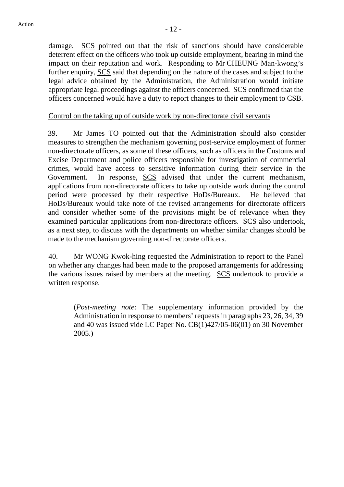damage. SCS pointed out that the risk of sanctions should have considerable deterrent effect on the officers who took up outside employment, bearing in mind the impact on their reputation and work. Responding to Mr CHEUNG Man-kwong's further enquiry, SCS said that depending on the nature of the cases and subject to the legal advice obtained by the Administration, the Administration would initiate appropriate legal proceedings against the officers concerned. SCS confirmed that the officers concerned would have a duty to report changes to their employment to CSB.

### Control on the taking up of outside work by non-directorate civil servants

39. Mr James TO pointed out that the Administration should also consider measures to strengthen the mechanism governing post-service employment of former non-directorate officers, as some of these officers, such as officers in the Customs and Excise Department and police officers responsible for investigation of commercial crimes, would have access to sensitive information during their service in the Government. In response, SCS advised that under the current mechanism, applications from non-directorate officers to take up outside work during the control period were processed by their respective HoDs/Bureaux. He believed that HoDs/Bureaux would take note of the revised arrangements for directorate officers and consider whether some of the provisions might be of relevance when they examined particular applications from non-directorate officers. SCS also undertook, as a next step, to discuss with the departments on whether similar changes should be made to the mechanism governing non-directorate officers.

40. Mr WONG Kwok-hing requested the Administration to report to the Panel on whether any changes had been made to the proposed arrangements for addressing the various issues raised by members at the meeting. SCS undertook to provide a written response.

(*Post-meeting note*: The supplementary information provided by the Administration in response to members' requests in paragraphs 23, 26, 34, 39 and 40 was issued vide LC Paper No. CB(1)427/05-06(01) on 30 November 2005.)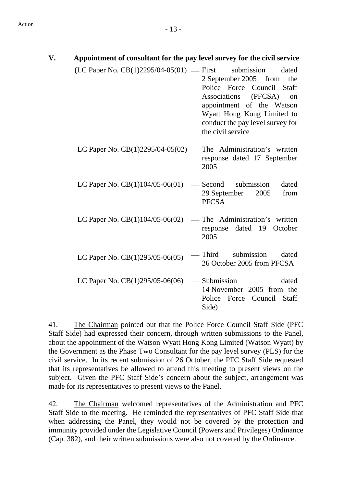| V. | Appointment of consultant for the pay level survey for the civil service |                                                                                                                                                                                                                                           |
|----|--------------------------------------------------------------------------|-------------------------------------------------------------------------------------------------------------------------------------------------------------------------------------------------------------------------------------------|
|    | (LC Paper No. CB(1)2295/04-05(01) — First                                | submission<br>dated<br>2 September 2005 from<br>the<br>Police Force Council<br>Staff<br>Associations<br>(PFCSA)<br>on<br>appointment of the Watson<br>Wyatt Hong Kong Limited to<br>conduct the pay level survey for<br>the civil service |
|    | LC Paper No. $CB(1)2295/04-05(02)$ — The Administration's written        | response dated 17 September<br>2005                                                                                                                                                                                                       |
|    | LC Paper No. CB(1)104/05-06(01)                                          | submission<br>dated<br>— Second<br>29 September<br>2005<br>from<br><b>PFCSA</b>                                                                                                                                                           |
|    | LC Paper No. CB(1)104/05-06(02)                                          | The Administration's written<br>dated 19<br>October<br>response<br>2005                                                                                                                                                                   |
|    | LC Paper No. $CB(1)295/05-06(05)$                                        | Third<br>submission<br>dated<br>26 October 2005 from PFCSA                                                                                                                                                                                |
|    | LC Paper No. $CB(1)295/05-06(06)$                                        | - Submission<br>dated<br>14 November 2005 from the<br>Council Staff<br>Police<br>Force<br>Side)                                                                                                                                           |

41. The Chairman pointed out that the Police Force Council Staff Side (PFC Staff Side) had expressed their concern, through written submissions to the Panel, about the appointment of the Watson Wyatt Hong Kong Limited (Watson Wyatt) by the Government as the Phase Two Consultant for the pay level survey (PLS) for the civil service. In its recent submission of 26 October, the PFC Staff Side requested that its representatives be allowed to attend this meeting to present views on the subject. Given the PFC Staff Side's concern about the subject, arrangement was made for its representatives to present views to the Panel.

42. The Chairman welcomed representatives of the Administration and PFC Staff Side to the meeting. He reminded the representatives of PFC Staff Side that when addressing the Panel, they would not be covered by the protection and immunity provided under the Legislative Council (Powers and Privileges) Ordinance (Cap. 382), and their written submissions were also not covered by the Ordinance.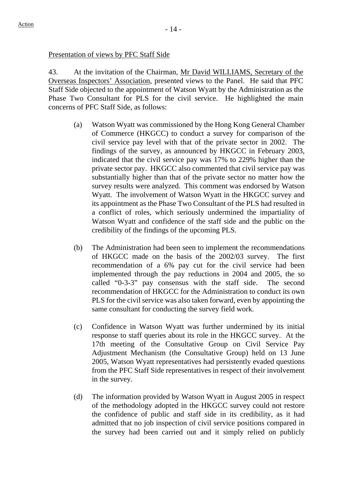### Presentation of views by PFC Staff Side

43. At the invitation of the Chairman, Mr David WILLIAMS, Secretary of the Overseas Inspectors' Association, presented views to the Panel. He said that PFC Staff Side objected to the appointment of Watson Wyatt by the Administration as the Phase Two Consultant for PLS for the civil service. He highlighted the main concerns of PFC Staff Side, as follows:

- (a) Watson Wyatt was commissioned by the Hong Kong General Chamber of Commerce (HKGCC) to conduct a survey for comparison of the civil service pay level with that of the private sector in 2002. The findings of the survey, as announced by HKGCC in February 2003, indicated that the civil service pay was 17% to 229% higher than the private sector pay. HKGCC also commented that civil service pay was substantially higher than that of the private sector no matter how the survey results were analyzed. This comment was endorsed by Watson Wyatt. The involvement of Watson Wyatt in the HKGCC survey and its appointment as the Phase Two Consultant of the PLS had resulted in a conflict of roles, which seriously undermined the impartiality of Watson Wyatt and confidence of the staff side and the public on the credibility of the findings of the upcoming PLS.
- (b) The Administration had been seen to implement the recommendations of HKGCC made on the basis of the 2002/03 survey. The first recommendation of a 6% pay cut for the civil service had been implemented through the pay reductions in 2004 and 2005, the so called "0-3-3" pay consensus with the staff side. The second recommendation of HKGCC for the Administration to conduct its own PLS for the civil service was also taken forward, even by appointing the same consultant for conducting the survey field work.
- (c) Confidence in Watson Wyatt was further undermined by its initial response to staff queries about its role in the HKGCC survey. At the 17th meeting of the Consultative Group on Civil Service Pay Adjustment Mechanism (the Consultative Group) held on 13 June 2005, Watson Wyatt representatives had persistently evaded questions from the PFC Staff Side representatives in respect of their involvement in the survey.
- (d) The information provided by Watson Wyatt in August 2005 in respect of the methodology adopted in the HKGCC survey could not restore the confidence of public and staff side in its credibility, as it had admitted that no job inspection of civil service positions compared in the survey had been carried out and it simply relied on publicly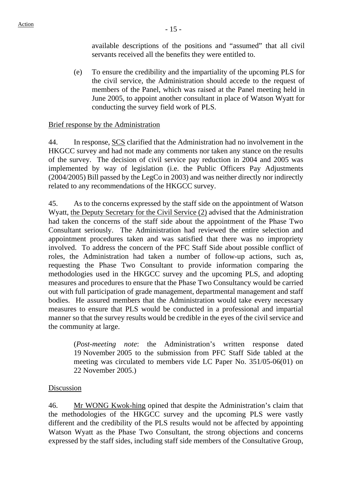available descriptions of the positions and "assumed" that all civil servants received all the benefits they were entitled to.

(e) To ensure the credibility and the impartiality of the upcoming PLS for the civil service, the Administration should accede to the request of members of the Panel, which was raised at the Panel meeting held in June 2005, to appoint another consultant in place of Watson Wyatt for conducting the survey field work of PLS.

### Brief response by the Administration

44. In response, SCS clarified that the Administration had no involvement in the HKGCC survey and had not made any comments nor taken any stance on the results of the survey. The decision of civil service pay reduction in 2004 and 2005 was implemented by way of legislation (i.e. the Public Officers Pay Adjustments (2004/2005) Bill passed by the LegCo in 2003) and was neither directly nor indirectly related to any recommendations of the HKGCC survey.

45. As to the concerns expressed by the staff side on the appointment of Watson Wyatt, the Deputy Secretary for the Civil Service (2) advised that the Administration had taken the concerns of the staff side about the appointment of the Phase Two Consultant seriously. The Administration had reviewed the entire selection and appointment procedures taken and was satisfied that there was no impropriety involved. To address the concern of the PFC Staff Side about possible conflict of roles, the Administration had taken a number of follow-up actions, such as, requesting the Phase Two Consultant to provide information comparing the methodologies used in the HKGCC survey and the upcoming PLS, and adopting measures and procedures to ensure that the Phase Two Consultancy would be carried out with full participation of grade management, departmental management and staff bodies. He assured members that the Administration would take every necessary measures to ensure that PLS would be conducted in a professional and impartial manner so that the survey results would be credible in the eyes of the civil service and the community at large.

(*Post-meeting note*: the Administration's written response dated 19 November 2005 to the submission from PFC Staff Side tabled at the meeting was circulated to members vide LC Paper No. 351/05-06(01) on 22 November 2005.)

#### Discussion

46. Mr WONG Kwok-hing opined that despite the Administration's claim that the methodologies of the HKGCC survey and the upcoming PLS were vastly different and the credibility of the PLS results would not be affected by appointing Watson Wyatt as the Phase Two Consultant, the strong objections and concerns expressed by the staff sides, including staff side members of the Consultative Group,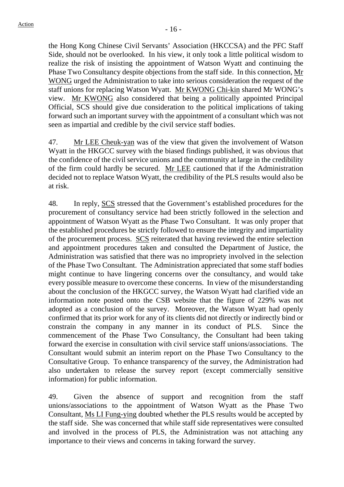the Hong Kong Chinese Civil Servants' Association (HKCCSA) and the PFC Staff Side, should not be overlooked. In his view, it only took a little political wisdom to realize the risk of insisting the appointment of Watson Wyatt and continuing the Phase Two Consultancy despite objections from the staff side. In this connection, Mr WONG urged the Administration to take into serious consideration the request of the staff unions for replacing Watson Wyatt. Mr KWONG Chi-kin shared Mr WONG's view. Mr KWONG also considered that being a politically appointed Principal Official, SCS should give due consideration to the political implications of taking forward such an important survey with the appointment of a consultant which was not seen as impartial and credible by the civil service staff bodies.

47. Mr LEE Cheuk-yan was of the view that given the involvement of Watson Wyatt in the HKGCC survey with the biased findings published, it was obvious that the confidence of the civil service unions and the community at large in the credibility of the firm could hardly be secured. Mr LEE cautioned that if the Administration decided not to replace Watson Wyatt, the credibility of the PLS results would also be at risk.

48. In reply, SCS stressed that the Government's established procedures for the procurement of consultancy service had been strictly followed in the selection and appointment of Watson Wyatt as the Phase Two Consultant. It was only proper that the established procedures be strictly followed to ensure the integrity and impartiality of the procurement process. SCS reiterated that having reviewed the entire selection and appointment procedures taken and consulted the Department of Justice, the Administration was satisfied that there was no impropriety involved in the selection of the Phase Two Consultant. The Administration appreciated that some staff bodies might continue to have lingering concerns over the consultancy, and would take every possible measure to overcome these concerns. In view of the misunderstanding about the conclusion of the HKGCC survey, the Watson Wyatt had clarified vide an information note posted onto the CSB website that the figure of 229% was not adopted as a conclusion of the survey. Moreover, the Watson Wyatt had openly confirmed that its prior work for any of its clients did not directly or indirectly bind or constrain the company in any manner in its conduct of PLS. Since the commencement of the Phase Two Consultancy, the Consultant had been taking forward the exercise in consultation with civil service staff unions/associations. The Consultant would submit an interim report on the Phase Two Consultancy to the Consultative Group. To enhance transparency of the survey, the Administration had also undertaken to release the survey report (except commercially sensitive information) for public information.

49. Given the absence of support and recognition from the staff unions/associations to the appointment of Watson Wyatt as the Phase Two Consultant, Ms LI Fung-ying doubted whether the PLS results would be accepted by the staff side. She was concerned that while staff side representatives were consulted and involved in the process of PLS, the Administration was not attaching any importance to their views and concerns in taking forward the survey.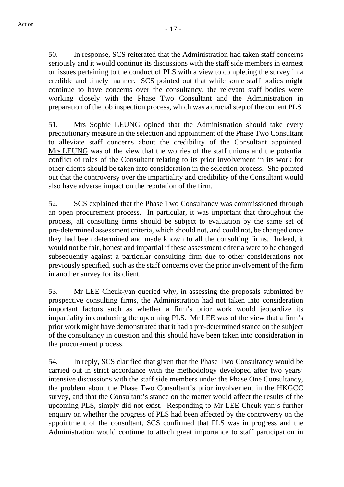50. In response, SCS reiterated that the Administration had taken staff concerns seriously and it would continue its discussions with the staff side members in earnest on issues pertaining to the conduct of PLS with a view to completing the survey in a credible and timely manner. SCS pointed out that while some staff bodies might continue to have concerns over the consultancy, the relevant staff bodies were working closely with the Phase Two Consultant and the Administration in preparation of the job inspection process, which was a crucial step of the current PLS.

51. Mrs Sophie LEUNG opined that the Administration should take every precautionary measure in the selection and appointment of the Phase Two Consultant to alleviate staff concerns about the credibility of the Consultant appointed. Mrs LEUNG was of the view that the worries of the staff unions and the potential conflict of roles of the Consultant relating to its prior involvement in its work for other clients should be taken into consideration in the selection process. She pointed out that the controversy over the impartiality and credibility of the Consultant would also have adverse impact on the reputation of the firm.

52. SCS explained that the Phase Two Consultancy was commissioned through an open procurement process. In particular, it was important that throughout the process, all consulting firms should be subject to evaluation by the same set of pre-determined assessment criteria, which should not, and could not, be changed once they had been determined and made known to all the consulting firms. Indeed, it would not be fair, honest and impartial if these assessment criteria were to be changed subsequently against a particular consulting firm due to other considerations not previously specified, such as the staff concerns over the prior involvement of the firm in another survey for its client.

53. Mr LEE Cheuk-yan queried why, in assessing the proposals submitted by prospective consulting firms, the Administration had not taken into consideration important factors such as whether a firm's prior work would jeopardize its impartiality in conducting the upcoming PLS. Mr LEE was of the view that a firm's prior work might have demonstrated that it had a pre-determined stance on the subject of the consultancy in question and this should have been taken into consideration in the procurement process.

54. In reply, SCS clarified that given that the Phase Two Consultancy would be carried out in strict accordance with the methodology developed after two years' intensive discussions with the staff side members under the Phase One Consultancy, the problem about the Phase Two Consultant's prior involvement in the HKGCC survey, and that the Consultant's stance on the matter would affect the results of the upcoming PLS, simply did not exist. Responding to Mr LEE Cheuk-yan's further enquiry on whether the progress of PLS had been affected by the controversy on the appointment of the consultant, SCS confirmed that PLS was in progress and the Administration would continue to attach great importance to staff participation in